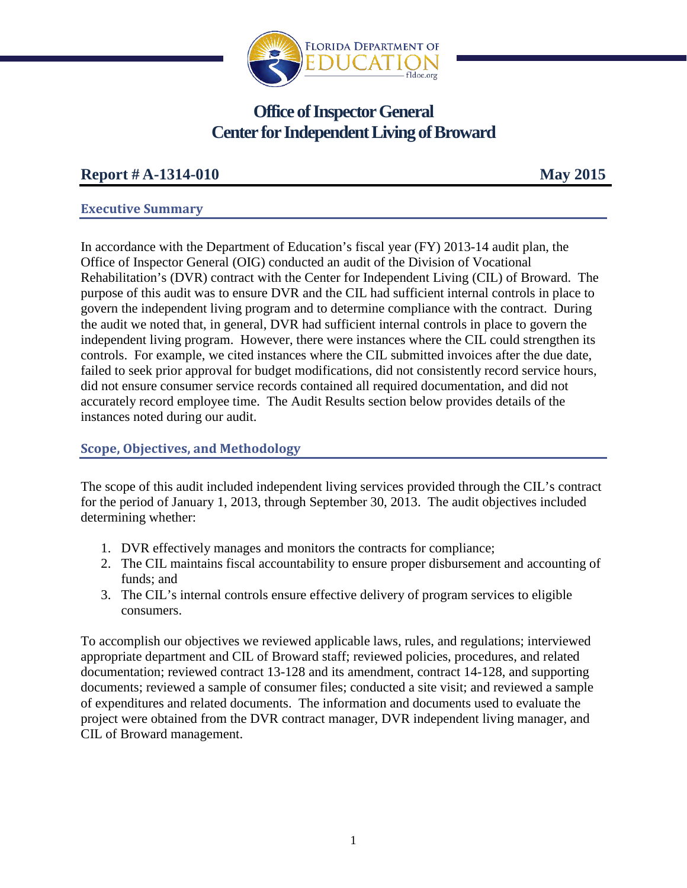

# **Office of Inspector General Center for Independent Living of Broward**

# **Report # A-1314-010 May 2015**

# **Executive Summary**

In accordance with the Department of Education's fiscal year (FY) 2013-14 audit plan, the Office of Inspector General (OIG) conducted an audit of the Division of Vocational Rehabilitation's (DVR) contract with the Center for Independent Living (CIL) of Broward.The purpose of this audit was to ensure DVR and the CIL had sufficient internal controls in place to govern the independent living program and to determine compliance with the contract. During the audit we noted that, in general, DVR had sufficient internal controls in place to govern the independent living program. However, there were instances where the CIL could strengthen its controls. For example, we cited instances where the CIL submitted invoices after the due date, failed to seek prior approval for budget modifications, did not consistently record service hours, did not ensure consumer service records contained all required documentation, and did not accurately record employee time. The Audit Results section below provides details of the instances noted during our audit.

# **Scope, Objectives, and Methodology**

The scope of this audit included independent living services provided through the CIL's contract for the period of January 1, 2013, through September 30, 2013. The audit objectives included determining whether:

- 1. DVR effectively manages and monitors the contracts for compliance;
- 2. The CIL maintains fiscal accountability to ensure proper disbursement and accounting of funds; and
- 3. The CIL's internal controls ensure effective delivery of program services to eligible consumers.

To accomplish our objectives we reviewed applicable laws, rules, and regulations; interviewed appropriate department and CIL of Broward staff; reviewed policies, procedures, and related documentation; reviewed contract 13-128 and its amendment, contract 14-128, and supporting documents; reviewed a sample of consumer files; conducted a site visit; and reviewed a sample of expenditures and related documents. The information and documents used to evaluate the project were obtained from the DVR contract manager, DVR independent living manager, and CIL of Broward management.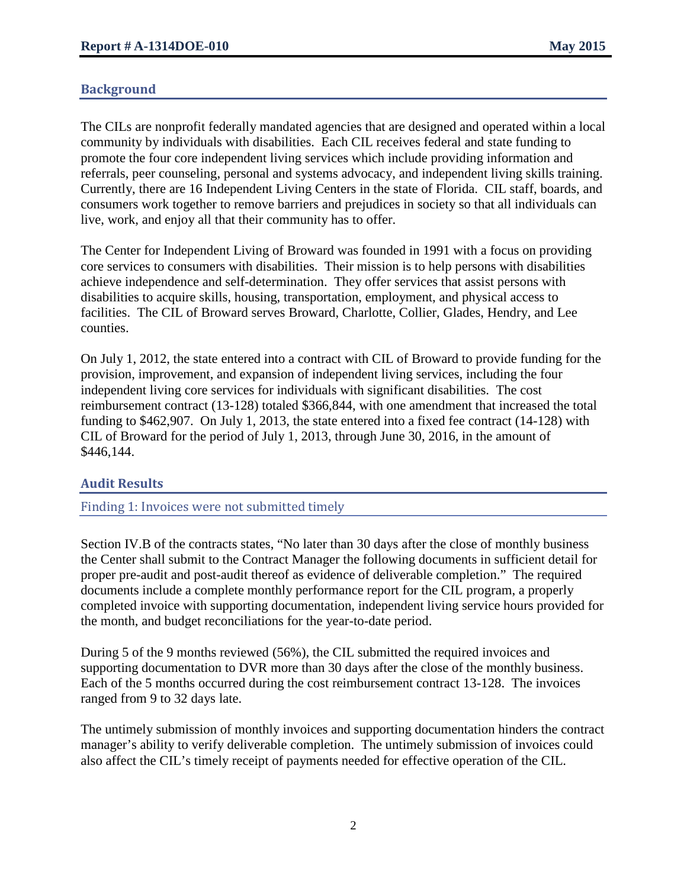# **Background**

The CILs are nonprofit federally mandated agencies that are designed and operated within a local community by individuals with disabilities. Each CIL receives federal and state funding to promote the four core independent living services which include providing information and referrals, peer counseling, personal and systems advocacy, and independent living skills training. Currently, there are 16 Independent Living Centers in the state of Florida. CIL staff, boards, and consumers work together to remove barriers and prejudices in society so that all individuals can live, work, and enjoy all that their community has to offer.

The Center for Independent Living of Broward was founded in 1991 with a focus on providing core services to consumers with disabilities. Their mission is to help persons with disabilities achieve independence and self-determination. They offer services that assist persons with disabilities to acquire skills, housing, transportation, employment, and physical access to facilities. The CIL of Broward serves Broward, Charlotte, Collier, Glades, Hendry, and Lee counties.

On July 1, 2012, the state entered into a contract with CIL of Broward to provide funding for the provision, improvement, and expansion of independent living services, including the four independent living core services for individuals with significant disabilities. The cost reimbursement contract (13-128) totaled \$366,844, with one amendment that increased the total funding to \$462,907. On July 1, 2013, the state entered into a fixed fee contract (14-128) with CIL of Broward for the period of July 1, 2013, through June 30, 2016, in the amount of \$446,144.

# **Audit Results**

Finding 1: Invoices were not submitted timely

Section IV.B of the contracts states, "No later than 30 days after the close of monthly business the Center shall submit to the Contract Manager the following documents in sufficient detail for proper pre-audit and post-audit thereof as evidence of deliverable completion." The required documents include a complete monthly performance report for the CIL program, a properly completed invoice with supporting documentation, independent living service hours provided for the month, and budget reconciliations for the year-to-date period.

During 5 of the 9 months reviewed (56%), the CIL submitted the required invoices and supporting documentation to DVR more than 30 days after the close of the monthly business. Each of the 5 months occurred during the cost reimbursement contract 13-128. The invoices ranged from 9 to 32 days late.

The untimely submission of monthly invoices and supporting documentation hinders the contract manager's ability to verify deliverable completion. The untimely submission of invoices could also affect the CIL's timely receipt of payments needed for effective operation of the CIL.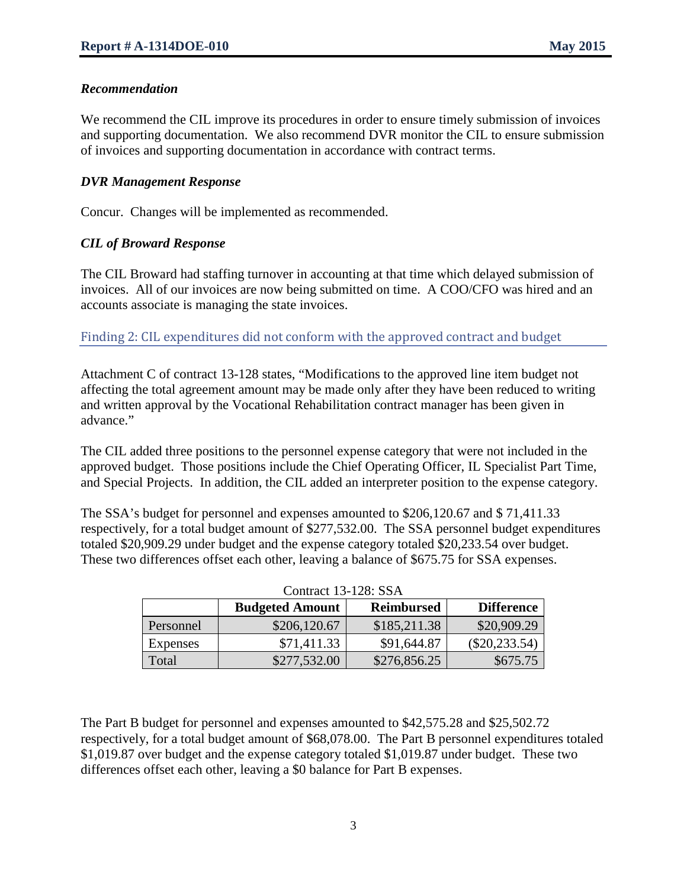### *Recommendation*

We recommend the CIL improve its procedures in order to ensure timely submission of invoices and supporting documentation. We also recommend DVR monitor the CIL to ensure submission of invoices and supporting documentation in accordance with contract terms.

### *DVR Management Response*

Concur. Changes will be implemented as recommended.

#### *CIL of Broward Response*

The CIL Broward had staffing turnover in accounting at that time which delayed submission of invoices. All of our invoices are now being submitted on time. A COO/CFO was hired and an accounts associate is managing the state invoices.

Finding 2: CIL expenditures did not conform with the approved contract and budget

Attachment C of contract 13-128 states, "Modifications to the approved line item budget not affecting the total agreement amount may be made only after they have been reduced to writing and written approval by the Vocational Rehabilitation contract manager has been given in advance."

The CIL added three positions to the personnel expense category that were not included in the approved budget. Those positions include the Chief Operating Officer, IL Specialist Part Time, and Special Projects. In addition, the CIL added an interpreter position to the expense category.

The SSA's budget for personnel and expenses amounted to \$206,120.67 and \$ 71,411.33 respectively, for a total budget amount of \$277,532.00. The SSA personnel budget expenditures totaled \$20,909.29 under budget and the expense category totaled \$20,233.54 over budget. These two differences offset each other, leaving a balance of \$675.75 for SSA expenses.

|                 | <b>Budgeted Amount</b> | <b>Reimbursed</b> | <b>Difference</b> |
|-----------------|------------------------|-------------------|-------------------|
| Personnel       | \$206,120.67           | \$185,211.38      | \$20,909.29       |
| <b>Expenses</b> | \$71,411.33            | \$91,644.87       | $(\$20,233.54)$   |
| Total           | \$277,532.00           | \$276,856.25      | \$675.75          |

| Contract 13-128: SSA |  |  |
|----------------------|--|--|
|----------------------|--|--|

The Part B budget for personnel and expenses amounted to \$42,575.28 and \$25,502.72 respectively, for a total budget amount of \$68,078.00. The Part B personnel expenditures totaled \$1,019.87 over budget and the expense category totaled \$1,019.87 under budget. These two differences offset each other, leaving a \$0 balance for Part B expenses.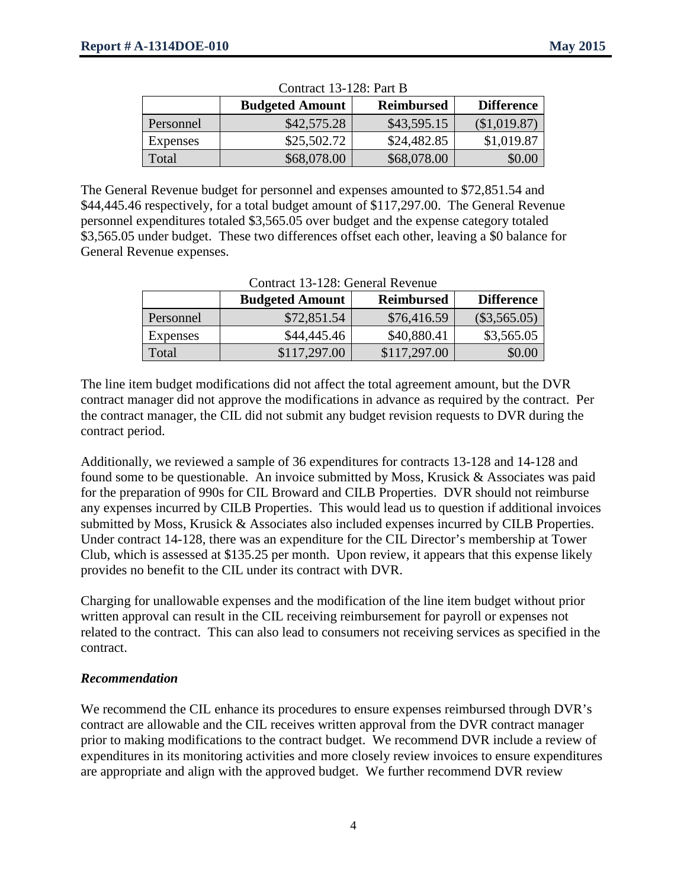|                 | <b>Budgeted Amount</b> | <b>Reimbursed</b> | <b>Difference</b> |
|-----------------|------------------------|-------------------|-------------------|
| Personnel       | \$42,575.28            | \$43,595.15       | (\$1,019.87)      |
| <b>Expenses</b> | \$25,502.72            | \$24,482.85       | \$1,019.87        |
| Total           | \$68,078.00            | \$68,078.00       | \$0.00            |

 $C = 13.128 \text{ P} \cdot \text{P}$ 

The General Revenue budget for personnel and expenses amounted to \$72,851.54 and \$44,445.46 respectively, for a total budget amount of \$117,297.00. The General Revenue personnel expenditures totaled \$3,565.05 over budget and the expense category totaled \$3,565.05 under budget. These two differences offset each other, leaving a \$0 balance for General Revenue expenses.

|                 | <b>Budgeted Amount</b> | <b>Reimbursed</b> | <b>Difference</b> |
|-----------------|------------------------|-------------------|-------------------|
| Personnel       | \$72,851.54            | \$76,416.59       | $(\$3,565.05)$    |
| <b>Expenses</b> | \$44,445.46            | \$40,880.41       | \$3,565.05        |
| Total           | \$117,297.00           | \$117,297.00      | \$0.00            |

The line item budget modifications did not affect the total agreement amount, but the DVR contract manager did not approve the modifications in advance as required by the contract. Per the contract manager, the CIL did not submit any budget revision requests to DVR during the contract period.

Additionally, we reviewed a sample of 36 expenditures for contracts 13-128 and 14-128 and found some to be questionable. An invoice submitted by Moss, Krusick & Associates was paid for the preparation of 990s for CIL Broward and CILB Properties. DVR should not reimburse any expenses incurred by CILB Properties. This would lead us to question if additional invoices submitted by Moss, Krusick & Associates also included expenses incurred by CILB Properties. Under contract 14-128, there was an expenditure for the CIL Director's membership at Tower Club, which is assessed at \$135.25 per month. Upon review, it appears that this expense likely provides no benefit to the CIL under its contract with DVR.

Charging for unallowable expenses and the modification of the line item budget without prior written approval can result in the CIL receiving reimbursement for payroll or expenses not related to the contract. This can also lead to consumers not receiving services as specified in the contract.

# *Recommendation*

We recommend the CIL enhance its procedures to ensure expenses reimbursed through DVR's contract are allowable and the CIL receives written approval from the DVR contract manager prior to making modifications to the contract budget. We recommend DVR include a review of expenditures in its monitoring activities and more closely review invoices to ensure expenditures are appropriate and align with the approved budget. We further recommend DVR review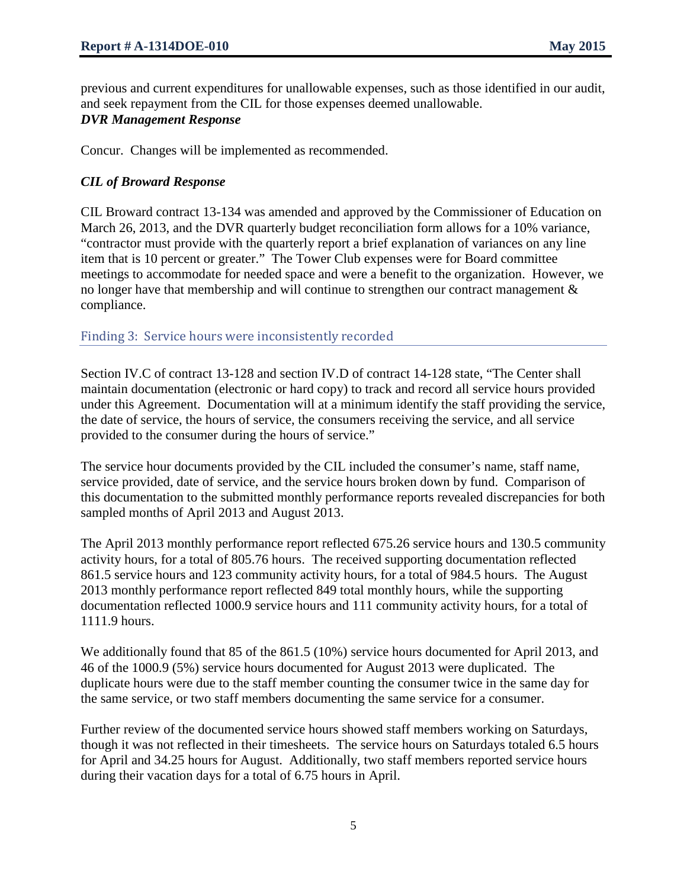previous and current expenditures for unallowable expenses, such as those identified in our audit, and seek repayment from the CIL for those expenses deemed unallowable. *DVR Management Response*

Concur. Changes will be implemented as recommended.

# *CIL of Broward Response*

CIL Broward contract 13-134 was amended and approved by the Commissioner of Education on March 26, 2013, and the DVR quarterly budget reconciliation form allows for a 10% variance, "contractor must provide with the quarterly report a brief explanation of variances on any line item that is 10 percent or greater." The Tower Club expenses were for Board committee meetings to accommodate for needed space and were a benefit to the organization. However, we no longer have that membership and will continue to strengthen our contract management & compliance.

# Finding 3: Service hours were inconsistently recorded

Section IV.C of contract 13-128 and section IV.D of contract 14-128 state, "The Center shall maintain documentation (electronic or hard copy) to track and record all service hours provided under this Agreement. Documentation will at a minimum identify the staff providing the service, the date of service, the hours of service, the consumers receiving the service, and all service provided to the consumer during the hours of service."

The service hour documents provided by the CIL included the consumer's name, staff name, service provided, date of service, and the service hours broken down by fund. Comparison of this documentation to the submitted monthly performance reports revealed discrepancies for both sampled months of April 2013 and August 2013.

The April 2013 monthly performance report reflected 675.26 service hours and 130.5 community activity hours, for a total of 805.76 hours. The received supporting documentation reflected 861.5 service hours and 123 community activity hours, for a total of 984.5 hours. The August 2013 monthly performance report reflected 849 total monthly hours, while the supporting documentation reflected 1000.9 service hours and 111 community activity hours, for a total of 1111.9 hours.

We additionally found that 85 of the 861.5 (10%) service hours documented for April 2013, and 46 of the 1000.9 (5%) service hours documented for August 2013 were duplicated. The duplicate hours were due to the staff member counting the consumer twice in the same day for the same service, or two staff members documenting the same service for a consumer.

Further review of the documented service hours showed staff members working on Saturdays, though it was not reflected in their timesheets. The service hours on Saturdays totaled 6.5 hours for April and 34.25 hours for August. Additionally, two staff members reported service hours during their vacation days for a total of 6.75 hours in April.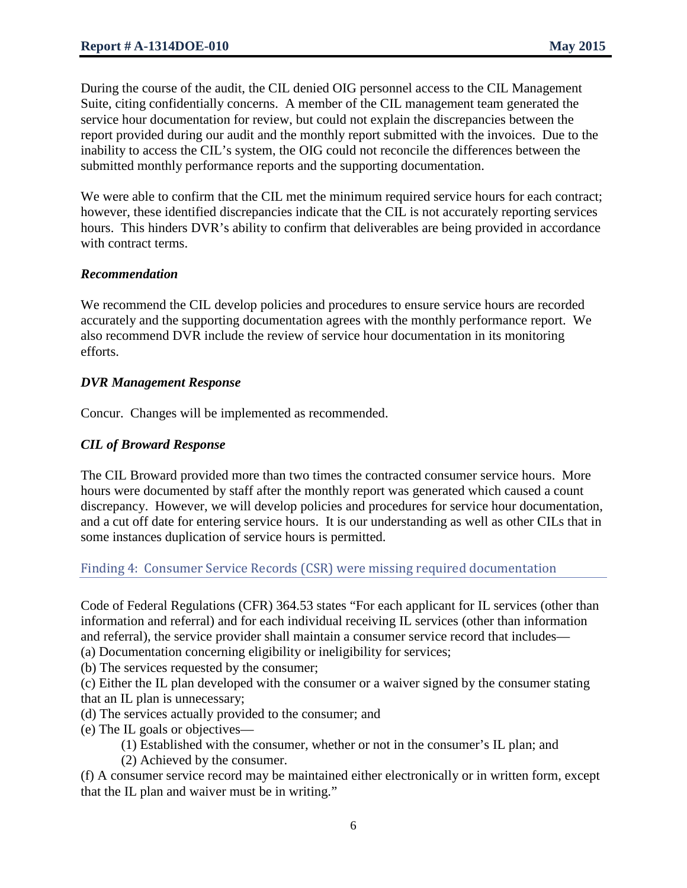During the course of the audit, the CIL denied OIG personnel access to the CIL Management Suite, citing confidentially concerns. A member of the CIL management team generated the service hour documentation for review, but could not explain the discrepancies between the report provided during our audit and the monthly report submitted with the invoices. Due to the inability to access the CIL's system, the OIG could not reconcile the differences between the submitted monthly performance reports and the supporting documentation.

We were able to confirm that the CIL met the minimum required service hours for each contract; however, these identified discrepancies indicate that the CIL is not accurately reporting services hours. This hinders DVR's ability to confirm that deliverables are being provided in accordance with contract terms.

# *Recommendation*

We recommend the CIL develop policies and procedures to ensure service hours are recorded accurately and the supporting documentation agrees with the monthly performance report. We also recommend DVR include the review of service hour documentation in its monitoring efforts.

#### *DVR Management Response*

Concur. Changes will be implemented as recommended.

# *CIL of Broward Response*

The CIL Broward provided more than two times the contracted consumer service hours. More hours were documented by staff after the monthly report was generated which caused a count discrepancy. However, we will develop policies and procedures for service hour documentation, and a cut off date for entering service hours. It is our understanding as well as other CILs that in some instances duplication of service hours is permitted.

# Finding 4: Consumer Service Records (CSR) were missing required documentation

Code of Federal Regulations (CFR) 364.53 states "For each applicant for IL services (other than information and referral) and for each individual receiving IL services (other than information and referral), the service provider shall maintain a consumer service record that includes—

(a) Documentation concerning eligibility or ineligibility for services;

(b) The services requested by the consumer;

(c) Either the IL plan developed with the consumer or a waiver signed by the consumer stating that an IL plan is unnecessary;

(d) The services actually provided to the consumer; and

(e) The IL goals or objectives—

(1) Established with the consumer, whether or not in the consumer's IL plan; and

(2) Achieved by the consumer.

(f) A consumer service record may be maintained either electronically or in written form, except that the IL plan and waiver must be in writing."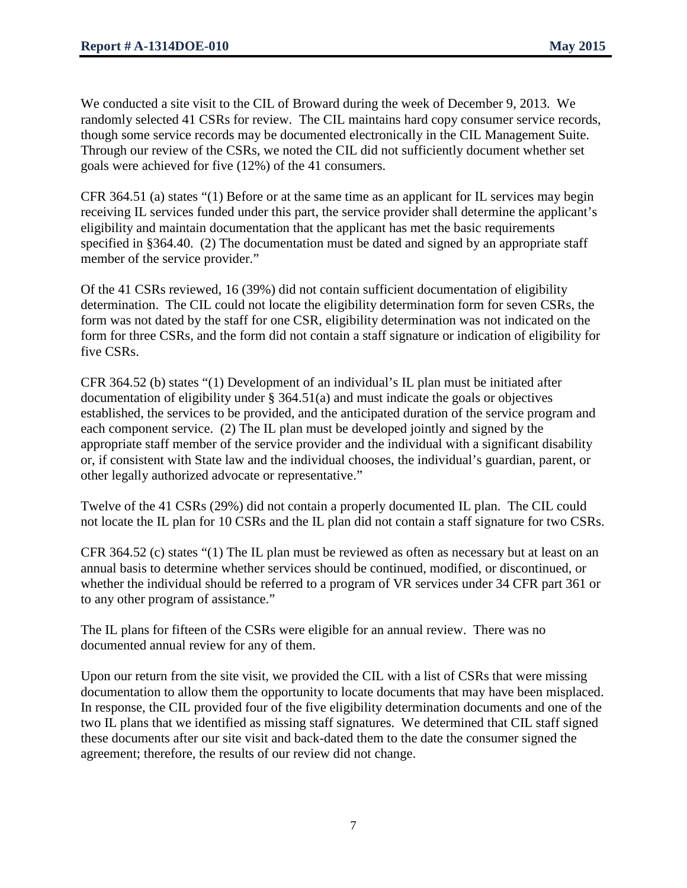We conducted a site visit to the CIL of Broward during the week of December 9, 2013. We randomly selected 41 CSRs for review. The CIL maintains hard copy consumer service records, though some service records may be documented electronically in the CIL Management Suite. Through our review of the CSRs, we noted the CIL did not sufficiently document whether set goals were achieved for five (12%) of the 41 consumers.

CFR 364.51 (a) states "(1) Before or at the same time as an applicant for IL services may begin receiving IL services funded under this part, the service provider shall determine the applicant's eligibility and maintain documentation that the applicant has met the basic requirements specified in §364.40. (2) The documentation must be dated and signed by an appropriate staff member of the service provider."

Of the 41 CSRs reviewed, 16 (39%) did not contain sufficient documentation of eligibility determination. The CIL could not locate the eligibility determination form for seven CSRs, the form was not dated by the staff for one CSR, eligibility determination was not indicated on the form for three CSRs, and the form did not contain a staff signature or indication of eligibility for five CSRs.

CFR 364.52 (b) states "(1) Development of an individual's IL plan must be initiated after documentation of eligibility under § 364.51(a) and must indicate the goals or objectives established, the services to be provided, and the anticipated duration of the service program and each component service. (2) The IL plan must be developed jointly and signed by the appropriate staff member of the service provider and the individual with a significant disability or, if consistent with State law and the individual chooses, the individual's guardian, parent, or other legally authorized advocate or representative."

Twelve of the 41 CSRs (29%) did not contain a properly documented IL plan. The CIL could not locate the IL plan for 10 CSRs and the IL plan did not contain a staff signature for two CSRs.

CFR 364.52 (c) states "(1) The IL plan must be reviewed as often as necessary but at least on an annual basis to determine whether services should be continued, modified, or discontinued, or whether the individual should be referred to a program of VR services under 34 CFR part 361 or to any other program of assistance."

The IL plans for fifteen of the CSRs were eligible for an annual review. There was no documented annual review for any of them.

Upon our return from the site visit, we provided the CIL with a list of CSRs that were missing documentation to allow them the opportunity to locate documents that may have been misplaced. In response, the CIL provided four of the five eligibility determination documents and one of the two IL plans that we identified as missing staff signatures. We determined that CIL staff signed these documents after our site visit and back-dated them to the date the consumer signed the agreement; therefore, the results of our review did not change.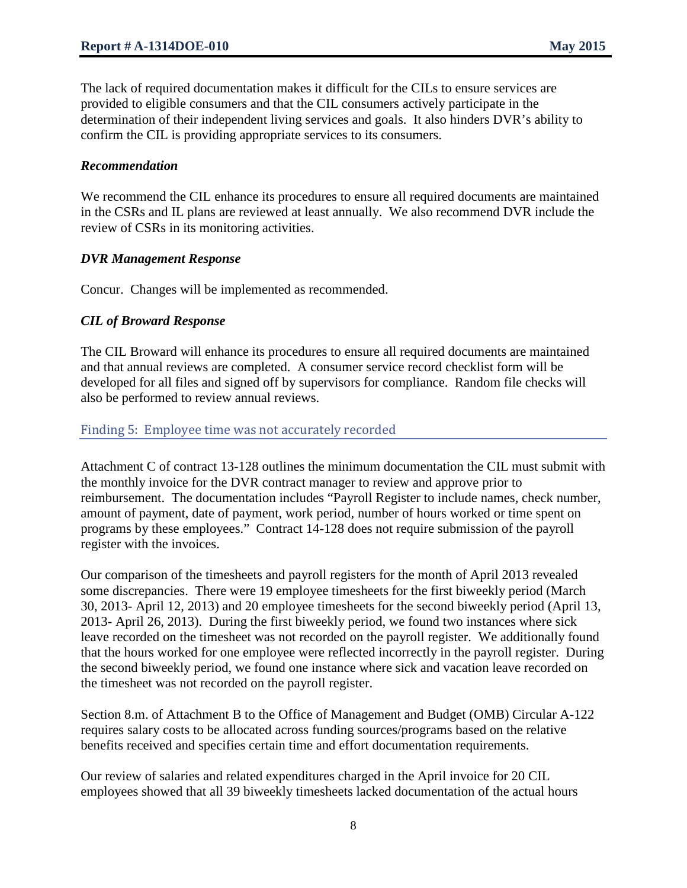The lack of required documentation makes it difficult for the CILs to ensure services are provided to eligible consumers and that the CIL consumers actively participate in the determination of their independent living services and goals. It also hinders DVR's ability to confirm the CIL is providing appropriate services to its consumers.

#### *Recommendation*

We recommend the CIL enhance its procedures to ensure all required documents are maintained in the CSRs and IL plans are reviewed at least annually. We also recommend DVR include the review of CSRs in its monitoring activities.

#### *DVR Management Response*

Concur. Changes will be implemented as recommended.

#### *CIL of Broward Response*

The CIL Broward will enhance its procedures to ensure all required documents are maintained and that annual reviews are completed. A consumer service record checklist form will be developed for all files and signed off by supervisors for compliance. Random file checks will also be performed to review annual reviews.

#### Finding 5: Employee time was not accurately recorded

Attachment C of contract 13-128 outlines the minimum documentation the CIL must submit with the monthly invoice for the DVR contract manager to review and approve prior to reimbursement. The documentation includes "Payroll Register to include names, check number, amount of payment, date of payment, work period, number of hours worked or time spent on programs by these employees." Contract 14-128 does not require submission of the payroll register with the invoices.

Our comparison of the timesheets and payroll registers for the month of April 2013 revealed some discrepancies. There were 19 employee timesheets for the first biweekly period (March 30, 2013- April 12, 2013) and 20 employee timesheets for the second biweekly period (April 13, 2013- April 26, 2013). During the first biweekly period, we found two instances where sick leave recorded on the timesheet was not recorded on the payroll register. We additionally found that the hours worked for one employee were reflected incorrectly in the payroll register. During the second biweekly period, we found one instance where sick and vacation leave recorded on the timesheet was not recorded on the payroll register.

Section 8.m. of Attachment B to the Office of Management and Budget (OMB) Circular A-122 requires salary costs to be allocated across funding sources/programs based on the relative benefits received and specifies certain time and effort documentation requirements.

Our review of salaries and related expenditures charged in the April invoice for 20 CIL employees showed that all 39 biweekly timesheets lacked documentation of the actual hours